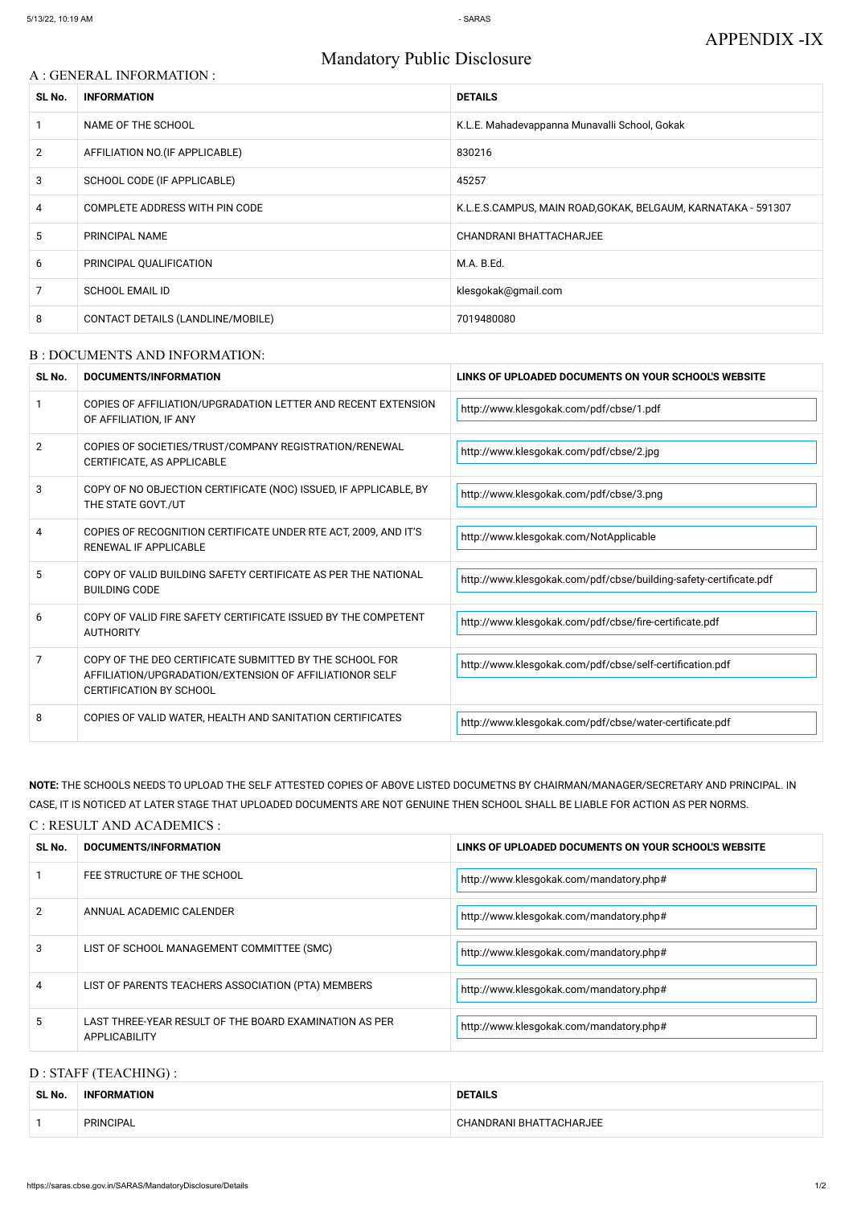# Mandatory Public Disclosure

## A : GENERAL INFORMATION :

| SL No.         | <b>INFORMATION</b>                | <b>DETAILS</b>                                               |
|----------------|-----------------------------------|--------------------------------------------------------------|
|                | NAME OF THE SCHOOL                | K.L.E. Mahadevappanna Munavalli School, Gokak                |
| $\overline{2}$ | AFFILIATION NO. (IF APPLICABLE)   | 830216                                                       |
| 3              | SCHOOL CODE (IF APPLICABLE)       | 45257                                                        |
| 4              | COMPLETE ADDRESS WITH PIN CODE    | K.L.E.S.CAMPUS, MAIN ROAD,GOKAK, BELGAUM, KARNATAKA - 591307 |
| 5              | PRINCIPAL NAME                    | CHANDRANI BHATTACHARJEE                                      |
| 6              | PRINCIPAL QUALIFICATION           | M.A. B.Ed.                                                   |
| 7              | <b>SCHOOL EMAIL ID</b>            | klesgokak@gmail.com                                          |
| 8              | CONTACT DETAILS (LANDLINE/MOBILE) | 7019480080                                                   |

#### B : DOCUMENTS AND INFORMATION:

| SL No.         | <b>DOCUMENTS/INFORMATION</b>                                                                                                                         | LINKS OF UPLOADED DOCUMENTS ON YOUR SCHOOL'S WEBSITE              |  |
|----------------|------------------------------------------------------------------------------------------------------------------------------------------------------|-------------------------------------------------------------------|--|
|                | COPIES OF AFFILIATION/UPGRADATION LETTER AND RECENT EXTENSION<br>OF AFFILIATION, IF ANY                                                              | http://www.klesgokak.com/pdf/cbse/1.pdf                           |  |
| $\overline{2}$ | COPIES OF SOCIETIES/TRUST/COMPANY REGISTRATION/RENEWAL<br>CERTIFICATE, AS APPLICABLE                                                                 | http://www.klesgokak.com/pdf/cbse/2.jpg                           |  |
| 3              | COPY OF NO OBJECTION CERTIFICATE (NOC) ISSUED, IF APPLICABLE, BY<br>THE STATE GOVT./UT                                                               | http://www.klesgokak.com/pdf/cbse/3.png                           |  |
| 4              | COPIES OF RECOGNITION CERTIFICATE UNDER RTE ACT, 2009, AND IT'S<br><b>RENEWAL IF APPLICABLE</b>                                                      | http://www.klesgokak.com/NotApplicable                            |  |
| 5              | COPY OF VALID BUILDING SAFETY CERTIFICATE AS PER THE NATIONAL<br><b>BUILDING CODE</b>                                                                | http://www.klesgokak.com/pdf/cbse/building-safety-certificate.pdf |  |
| 6              | COPY OF VALID FIRE SAFETY CERTIFICATE ISSUED BY THE COMPETENT<br><b>AUTHORITY</b>                                                                    | http://www.klesgokak.com/pdf/cbse/fire-certificate.pdf            |  |
| 7              | COPY OF THE DEO CERTIFICATE SUBMITTED BY THE SCHOOL FOR<br>AFFILIATION/UPGRADATION/EXTENSION OF AFFILIATIONOR SELF<br><b>CERTIFICATION BY SCHOOL</b> | http://www.klesgokak.com/pdf/cbse/self-certification.pdf          |  |
| 8              | COPIES OF VALID WATER, HEALTH AND SANITATION CERTIFICATES                                                                                            | http://www.klesgokak.com/pdf/cbse/water-certificate.pdf           |  |

|             | ANNUAL ACADEMIC CALENDER                                                       | http://www.klesgokak.com/mandatory.php# |
|-------------|--------------------------------------------------------------------------------|-----------------------------------------|
|             | LIST OF SCHOOL MANAGEMENT COMMITTEE (SMC)                                      | http://www.klesgokak.com/mandatory.php# |
| 4           | LIST OF PARENTS TEACHERS ASSOCIATION (PTA) MEMBERS                             | http://www.klesgokak.com/mandatory.php# |
| $5^{\circ}$ | LAST THREE-YEAR RESULT OF THE BOARD EXAMINATION AS PER<br><b>APPLICABILITY</b> | http://www.klesgokak.com/mandatory.php# |

NOTE: THE SCHOOLS NEEDS TO UPLOAD THE SELF ATTESTED COPIES OF ABOVE LISTED DOCUMETNS BY CHAIRMAN/MANAGER/SECRETARY AND PRINCIPAL. IN CASE, IT IS NOTICED AT LATER STAGE THAT UPLOADED DOCUMENTS ARE NOT GENUINE THEN SCHOOL SHALL BE LIABLE FOR ACTION AS PER NORMS.

## C : RESULT AND ACADEMICS :

| SL No. | DOCUMENTS/INFORMATION       | LINKS OF UPLOADED DOCUMENTS ON YOUR SCHOOL'S WEBSITE |  |
|--------|-----------------------------|------------------------------------------------------|--|
|        | FEE STRUCTURE OF THE SCHOOL | http://www.klesgokak.com/mandatory.php#              |  |
|        | ANINITAL ACADEMIC CALENDED  |                                                      |  |

## D : STAFF (TEACHING) :

| SL No. | <b>INFORMATION</b> | <b>DETAILS</b>          |  |
|--------|--------------------|-------------------------|--|
|        | <b>PRINCIPAL</b>   | CHANDRANI BHATTACHARJEE |  |